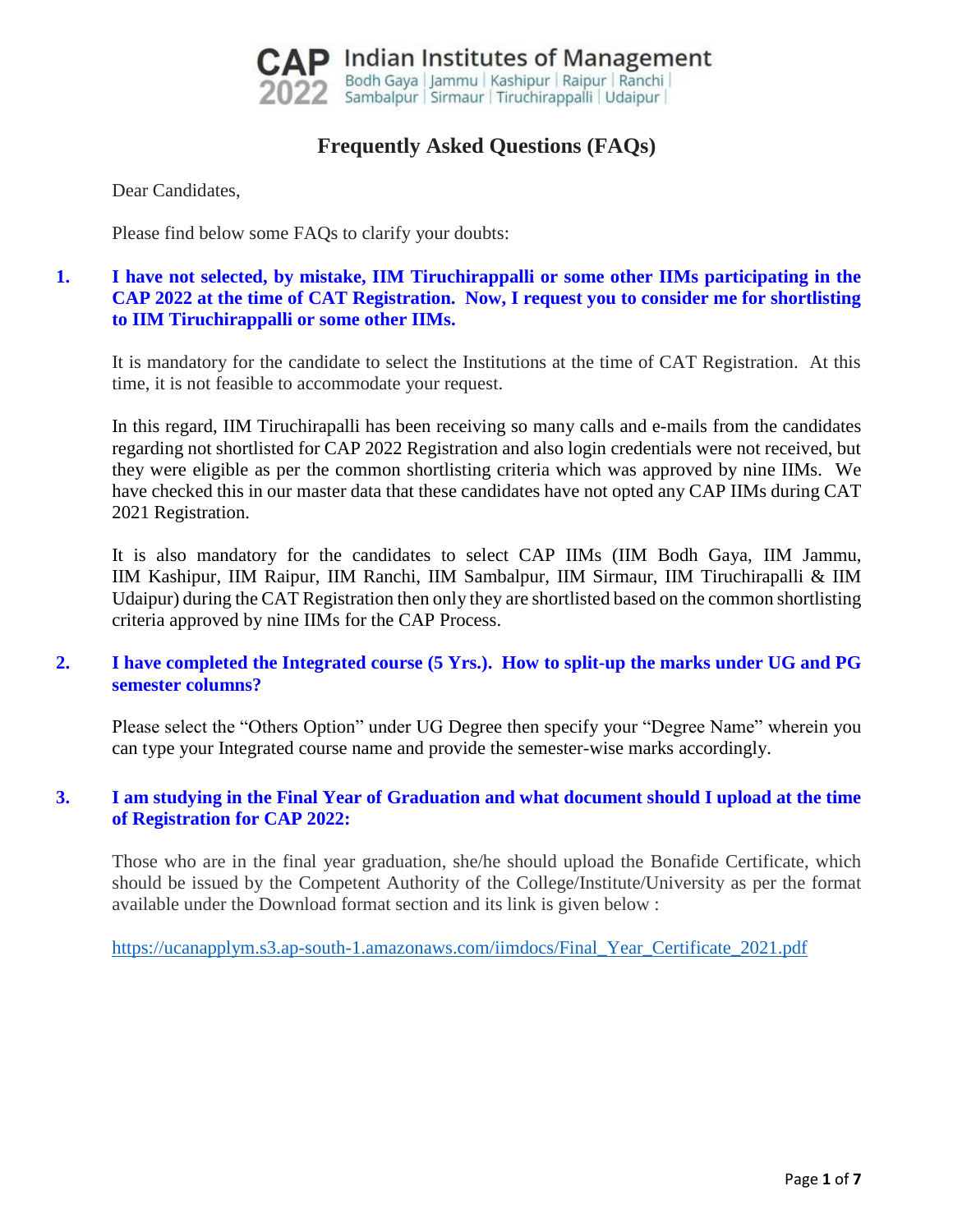

# **Frequently Asked Questions (FAQs)**

Dear Candidates,

Please find below some FAQs to clarify your doubts:

# **1. I have not selected, by mistake, IIM Tiruchirappalli or some other IIMs participating in the CAP 2022 at the time of CAT Registration. Now, I request you to consider me for shortlisting to IIM Tiruchirappalli or some other IIMs.**

It is mandatory for the candidate to select the Institutions at the time of CAT Registration. At this time, it is not feasible to accommodate your request.

In this regard, IIM Tiruchirapalli has been receiving so many calls and e-mails from the candidates regarding not shortlisted for CAP 2022 Registration and also login credentials were not received, but they were eligible as per the common shortlisting criteria which was approved by nine IIMs. We have checked this in our master data that these candidates have not opted any CAP IIMs during CAT 2021 Registration.

It is also mandatory for the candidates to select CAP IIMs (IIM Bodh Gaya, IIM Jammu, IIM Kashipur, IIM Raipur, IIM Ranchi, IIM Sambalpur, IIM Sirmaur, IIM Tiruchirapalli & IIM Udaipur) during the CAT Registration then only they are shortlisted based on the common shortlisting criteria approved by nine IIMs for the CAP Process.

## **2. I have completed the Integrated course (5 Yrs.). How to split-up the marks under UG and PG semester columns?**

Please select the "Others Option" under UG Degree then specify your "Degree Name" wherein you can type your Integrated course name and provide the semester-wise marks accordingly.

## **3. I am studying in the Final Year of Graduation and what document should I upload at the time of Registration for CAP 2022:**

Those who are in the final year graduation, she/he should upload the Bonafide Certificate, which should be issued by the Competent Authority of the College/Institute/University as per the format available under the Download format section and its link is given below :

[https://ucanapplym.s3.ap-south-1.amazonaws.com/iimdocs/Final\\_Year\\_Certificate\\_2021.pdf](https://ucanapplym.s3.ap-south-1.amazonaws.com/iimdocs/Final_Year_Certificate_2021.pdf)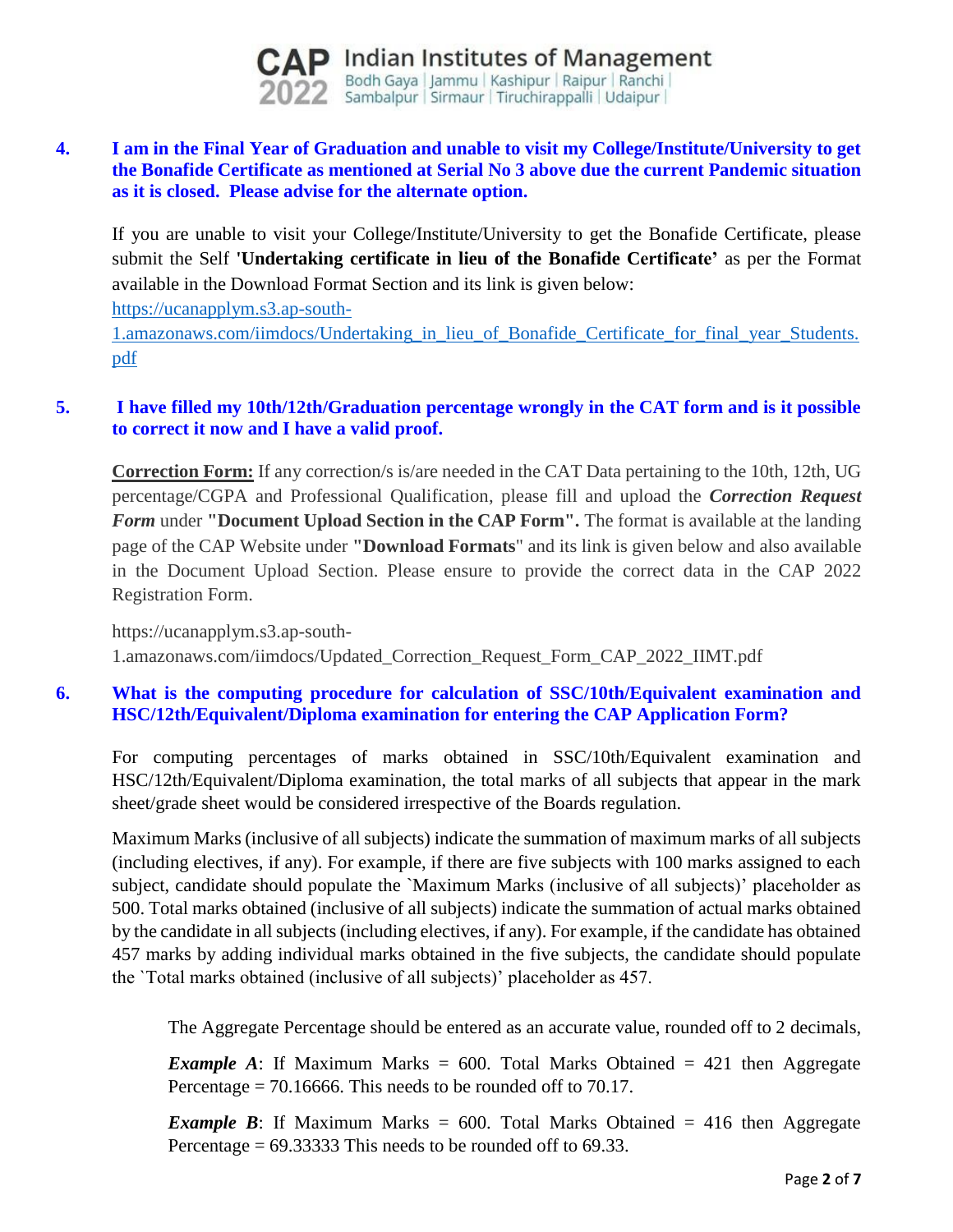

## **4. I am in the Final Year of Graduation and unable to visit my College/Institute/University to get the Bonafide Certificate as mentioned at Serial No 3 above due the current Pandemic situation as it is closed. Please advise for the alternate option.**

If you are unable to visit your College/Institute/University to get the Bonafide Certificate, please submit the Self **'Undertaking certificate in lieu of the Bonafide Certificate'** as per the Format available in the Download Format Section and its link is given below:

[https://ucanapplym.s3.ap-south-](https://ucanapplym.s3.ap-south-1.amazonaws.com/iimdocs/Undertaking_in_lieu_of_Bonafide_Certificate_for_final_year_Students.pdf)

[1.amazonaws.com/iimdocs/Undertaking\\_in\\_lieu\\_of\\_Bonafide\\_Certificate\\_for\\_final\\_year\\_Students.](https://ucanapplym.s3.ap-south-1.amazonaws.com/iimdocs/Undertaking_in_lieu_of_Bonafide_Certificate_for_final_year_Students.pdf) [pdf](https://ucanapplym.s3.ap-south-1.amazonaws.com/iimdocs/Undertaking_in_lieu_of_Bonafide_Certificate_for_final_year_Students.pdf) 

## **5. I have filled my 10th/12th/Graduation percentage wrongly in the CAT form and is it possible to correct it now and I have a valid proof.**

**Correction Form:** If any correction/s is/are needed in the CAT Data pertaining to the 10th, 12th, UG percentage/CGPA and Professional Qualification, please fill and upload the *Correction Request Form* under **"Document Upload Section in the CAP Form".** The format is available at the landing page of the CAP Website under **"Download Formats**" and its link is given below and also available in the Document Upload Section. Please ensure to provide the correct data in the CAP 2022 Registration Form.

https://ucanapplym.s3.ap-south-1.amazonaws.com/iimdocs/Updated\_Correction\_Request\_Form\_CAP\_2022\_IIMT.pdf

# **6. What is the computing procedure for calculation of SSC/10th/Equivalent examination and HSC/12th/Equivalent/Diploma examination for entering the CAP Application Form?**

For computing percentages of marks obtained in SSC/10th/Equivalent examination and HSC/12th/Equivalent/Diploma examination, the total marks of all subjects that appear in the mark sheet/grade sheet would be considered irrespective of the Boards regulation.

Maximum Marks (inclusive of all subjects) indicate the summation of maximum marks of all subjects (including electives, if any). For example, if there are five subjects with 100 marks assigned to each subject, candidate should populate the `Maximum Marks (inclusive of all subjects)' placeholder as 500. Total marks obtained (inclusive of all subjects) indicate the summation of actual marks obtained by the candidate in all subjects (including electives, if any). For example, if the candidate has obtained 457 marks by adding individual marks obtained in the five subjects, the candidate should populate the `Total marks obtained (inclusive of all subjects)' placeholder as 457.

The Aggregate Percentage should be entered as an accurate value, rounded off to 2 decimals,

*Example A*: If Maximum Marks = 600. Total Marks Obtained = 421 then Aggregate Percentage  $= 70.16666$ . This needs to be rounded off to 70.17.

*Example B*: If Maximum Marks = 600. Total Marks Obtained = 416 then Aggregate Percentage  $= 69.33333$  This needs to be rounded off to 69.33.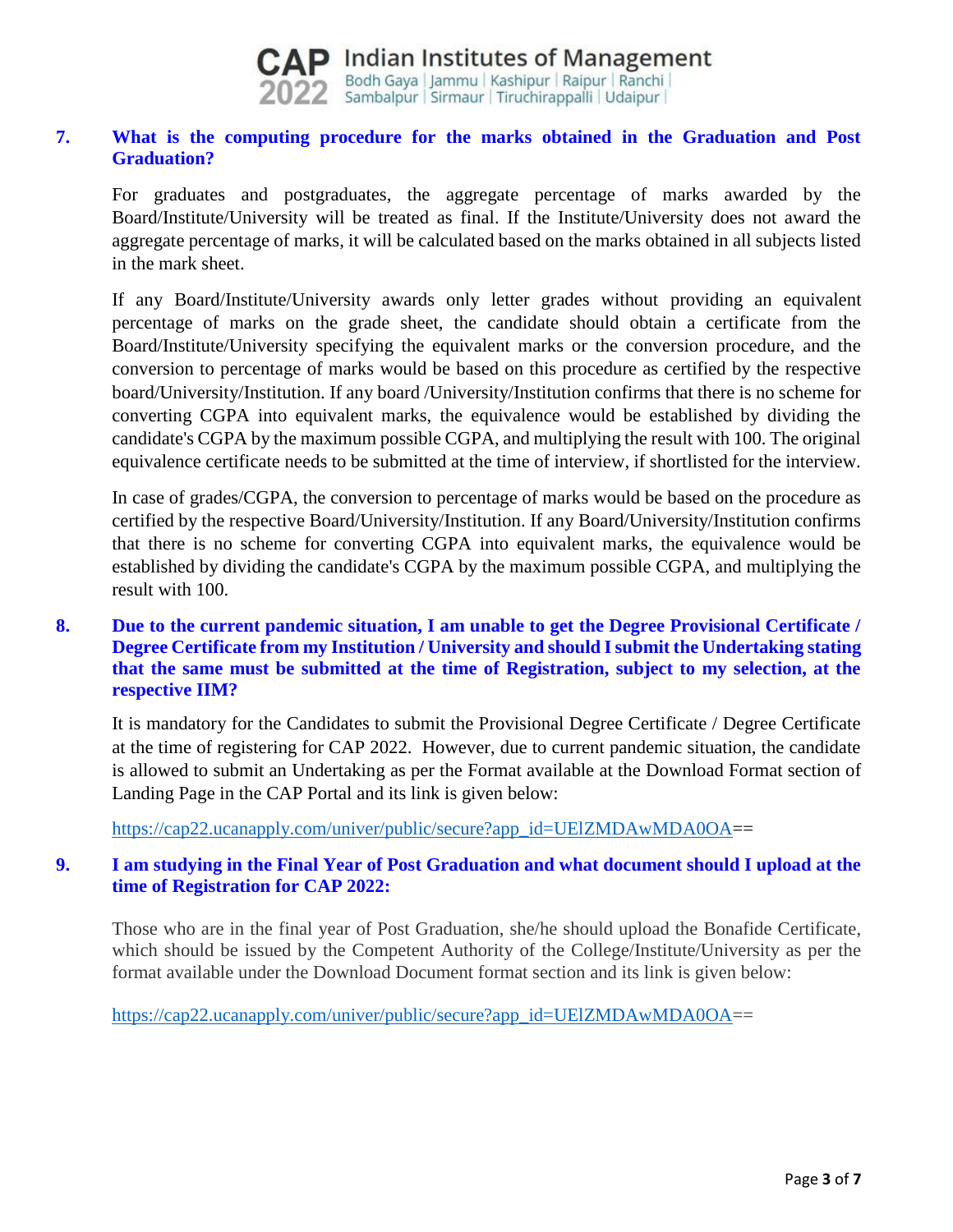

## **7. What is the computing procedure for the marks obtained in the Graduation and Post Graduation?**

For graduates and postgraduates, the aggregate percentage of marks awarded by the Board/Institute/University will be treated as final. If the Institute/University does not award the aggregate percentage of marks, it will be calculated based on the marks obtained in all subjects listed in the mark sheet.

If any Board/Institute/University awards only letter grades without providing an equivalent percentage of marks on the grade sheet, the candidate should obtain a certificate from the Board/Institute/University specifying the equivalent marks or the conversion procedure, and the conversion to percentage of marks would be based on this procedure as certified by the respective board/University/Institution. If any board /University/Institution confirms that there is no scheme for converting CGPA into equivalent marks, the equivalence would be established by dividing the candidate's CGPA by the maximum possible CGPA, and multiplying the result with 100. The original equivalence certificate needs to be submitted at the time of interview, if shortlisted for the interview.

In case of grades/CGPA, the conversion to percentage of marks would be based on the procedure as certified by the respective Board/University/Institution. If any Board/University/Institution confirms that there is no scheme for converting CGPA into equivalent marks, the equivalence would be established by dividing the candidate's CGPA by the maximum possible CGPA, and multiplying the result with 100.

# **8. Due to the current pandemic situation, I am unable to get the Degree Provisional Certificate / Degree Certificate from my Institution / University and should I submit the Undertaking stating that the same must be submitted at the time of Registration, subject to my selection, at the respective IIM?**

It is mandatory for the Candidates to submit the Provisional Degree Certificate / Degree Certificate at the time of registering for CAP 2022. However, due to current pandemic situation, the candidate is allowed to submit an Undertaking as per the Format available at the Download Format section of Landing Page in the CAP Portal and its link is given below:

[https://cap22.ucanapply.com/univer/public/secure?app\\_id=UElZMDAwMDA0OA=](https://cap22.ucanapply.com/univer/public/secure?app_id=UElZMDAwMDA0OA)=

## **9. I am studying in the Final Year of Post Graduation and what document should I upload at the time of Registration for CAP 2022:**

Those who are in the final year of Post Graduation, she/he should upload the Bonafide Certificate, which should be issued by the Competent Authority of the College/Institute/University as per the format available under the Download Document format section and its link is given below:

[https://cap22.ucanapply.com/univer/public/secure?app\\_id=UElZMDAwMDA0OA=](https://cap22.ucanapply.com/univer/public/secure?app_id=UElZMDAwMDA0OA)=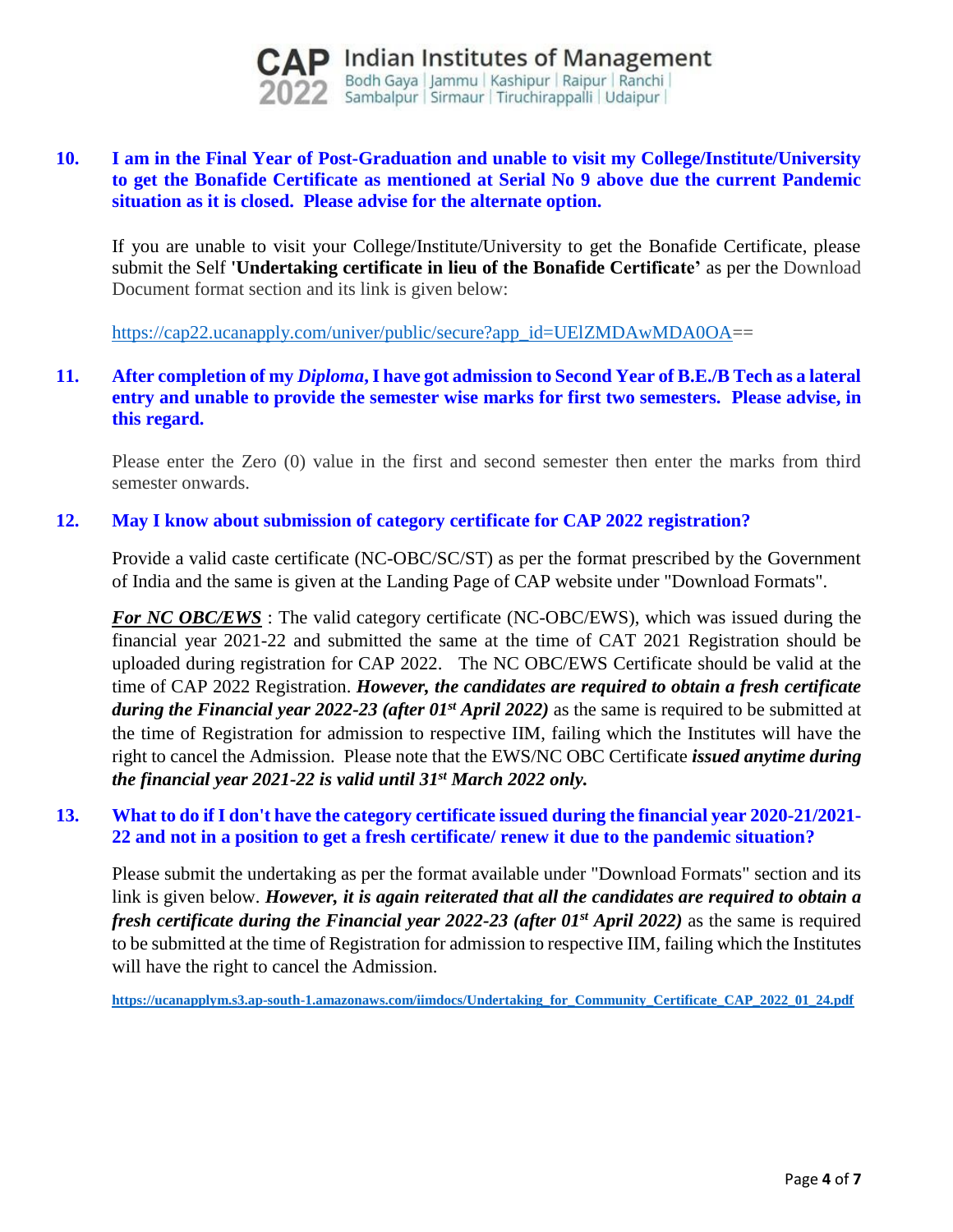

## **10. I am in the Final Year of Post-Graduation and unable to visit my College/Institute/University to get the Bonafide Certificate as mentioned at Serial No 9 above due the current Pandemic situation as it is closed. Please advise for the alternate option.**

If you are unable to visit your College/Institute/University to get the Bonafide Certificate, please submit the Self **'Undertaking certificate in lieu of the Bonafide Certificate'** as per the Download Document format section and its link is given below:

[https://cap22.ucanapply.com/univer/public/secure?app\\_id=UElZMDAwMDA0OA=](https://cap22.ucanapply.com/univer/public/secure?app_id=UElZMDAwMDA0OA)=

## **11. After completion of my** *Diploma***, I have got admission to Second Year of B.E./B Tech as a lateral entry and unable to provide the semester wise marks for first two semesters. Please advise, in this regard.**

Please enter the Zero (0) value in the first and second semester then enter the marks from third semester onwards.

### **12. May I know about submission of category certificate for CAP 2022 registration?**

Provide a valid caste certificate (NC-OBC/SC/ST) as per the format prescribed by the Government of India and the same is given at the Landing Page of CAP website under "Download Formats".

*For NC OBC/EWS* : The valid category certificate (NC-OBC/EWS), which was issued during the financial year 2021-22 and submitted the same at the time of CAT 2021 Registration should be uploaded during registration for CAP 2022. The NC OBC/EWS Certificate should be valid at the time of CAP 2022 Registration. *However, the candidates are required to obtain a fresh certificate during the Financial year 2022-23 (after 01st April 2022)* as the same is required to be submitted at the time of Registration for admission to respective IIM, failing which the Institutes will have the right to cancel the Admission. Please note that the EWS/NC OBC Certificate *issued anytime during the financial year 2021-22 is valid until 31st March 2022 only.*

### **13. What to do if I don't have the category certificate issued during the financial year 2020-21/2021- 22 and not in a position to get a fresh certificate/ renew it due to the pandemic situation?**

Please submit the undertaking as per the format available under "Download Formats" section and its link is given below. *However, it is again reiterated that all the candidates are required to obtain a fresh certificate during the Financial year 2022-23 (after 01st April 2022)* as the same is required to be submitted at the time of Registration for admission to respective IIM, failing which the Institutes will have the right to cancel the Admission.

**[https://ucanapplym.s3.ap-south-1.amazonaws.com/iimdocs/Undertaking\\_for\\_Community\\_Certificate\\_CAP\\_2022\\_01\\_24.pdf](https://ucanapplym.s3.ap-south-1.amazonaws.com/iimdocs/Undertaking_for_Community_Certificate_CAP_2022_01_24.pdf)**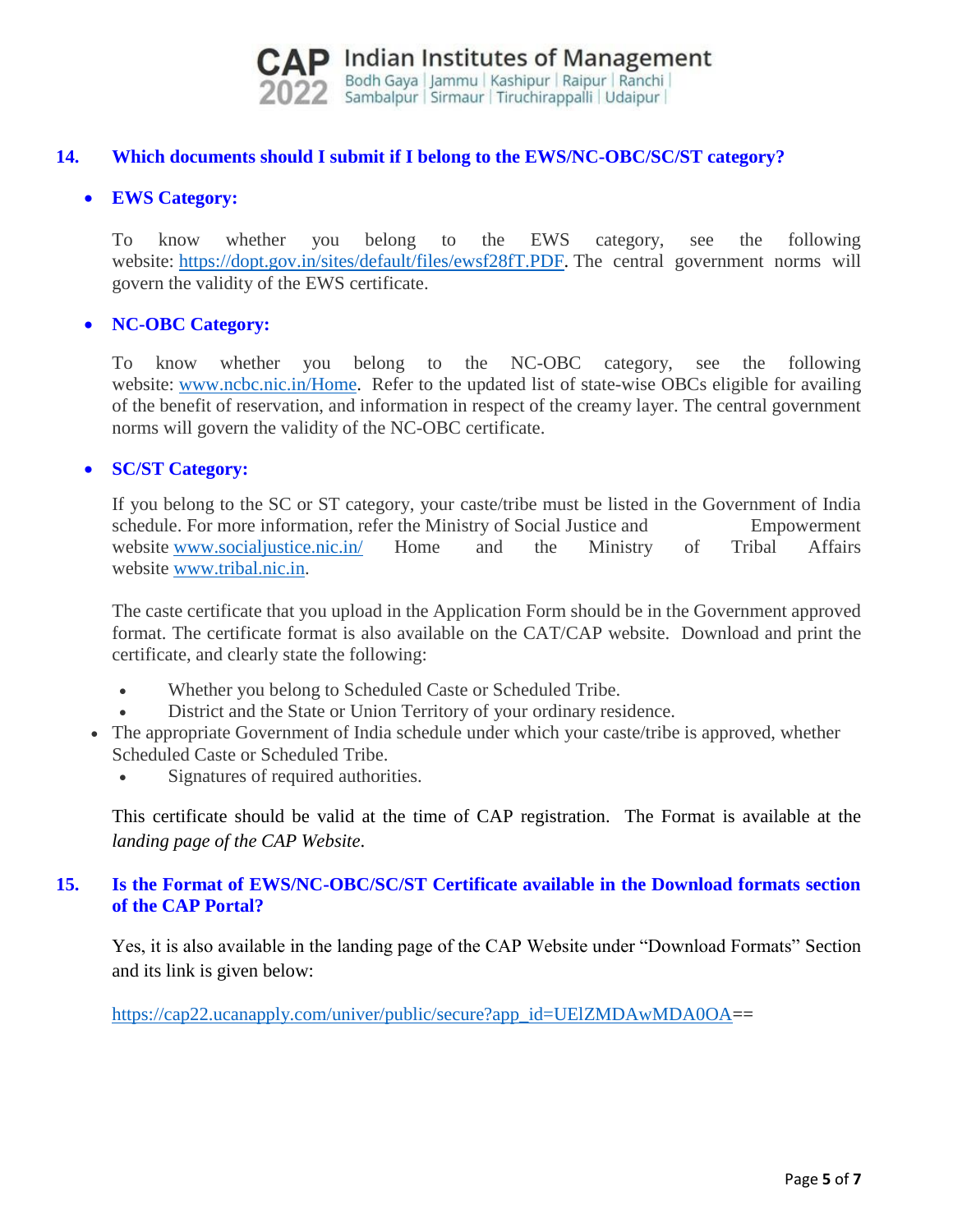

## **14. Which documents should I submit if I belong to the EWS/NC-OBC/SC/ST category?**

## **EWS Category:**

To know whether you belong to the EWS category, see the following website: [https://dopt.gov.in/sites/default/files/ewsf28fT.PDF.](https://dopt.gov.in/sites/default/files/ewsf28fT.PDF) The central government norms will govern the validity of the EWS certificate.

### **NC-OBC Category:**

To know whether you belong to the NC-OBC category, see the following website: [www.ncbc.nic.in/Home.](http://www.ncbc.nic.in/Home) Refer to the updated list of state-wise OBCs eligible for availing of the benefit of reservation, and information in respect of the creamy layer. The central government norms will govern the validity of the NC-OBC certificate.

### **SC/ST Category:**

If you belong to the SC or ST category, your caste/tribe must be listed in the Government of India schedule. For more information, refer the Ministry of Social Justice and Empowerment website [www.socialjustice.nic.in/](http://www.socialjustice.nic.in/) Home and the Ministry of Tribal Affairs website [www.tribal.nic.in.](http://www.tribal.nic.in/)

The caste certificate that you upload in the Application Form should be in the Government approved format. The certificate format is also available on the CAT/CAP website. Download and print the certificate, and clearly state the following:

- Whether you belong to Scheduled Caste or Scheduled Tribe.
- District and the State or Union Territory of your ordinary residence.
- The appropriate Government of India schedule under which your caste/tribe is approved, whether Scheduled Caste or Scheduled Tribe.
	- Signatures of required authorities.

This certificate should be valid at the time of CAP registration. The Format is available at the *landing page of the CAP Website*.

## **15. Is the Format of EWS/NC-OBC/SC/ST Certificate available in the Download formats section of the CAP Portal?**

Yes, it is also available in the landing page of the CAP Website under "Download Formats" Section and its link is given below:

[https://cap22.ucanapply.com/univer/public/secure?app\\_id=UElZMDAwMDA0OA=](https://cap22.ucanapply.com/univer/public/secure?app_id=UElZMDAwMDA0OA)=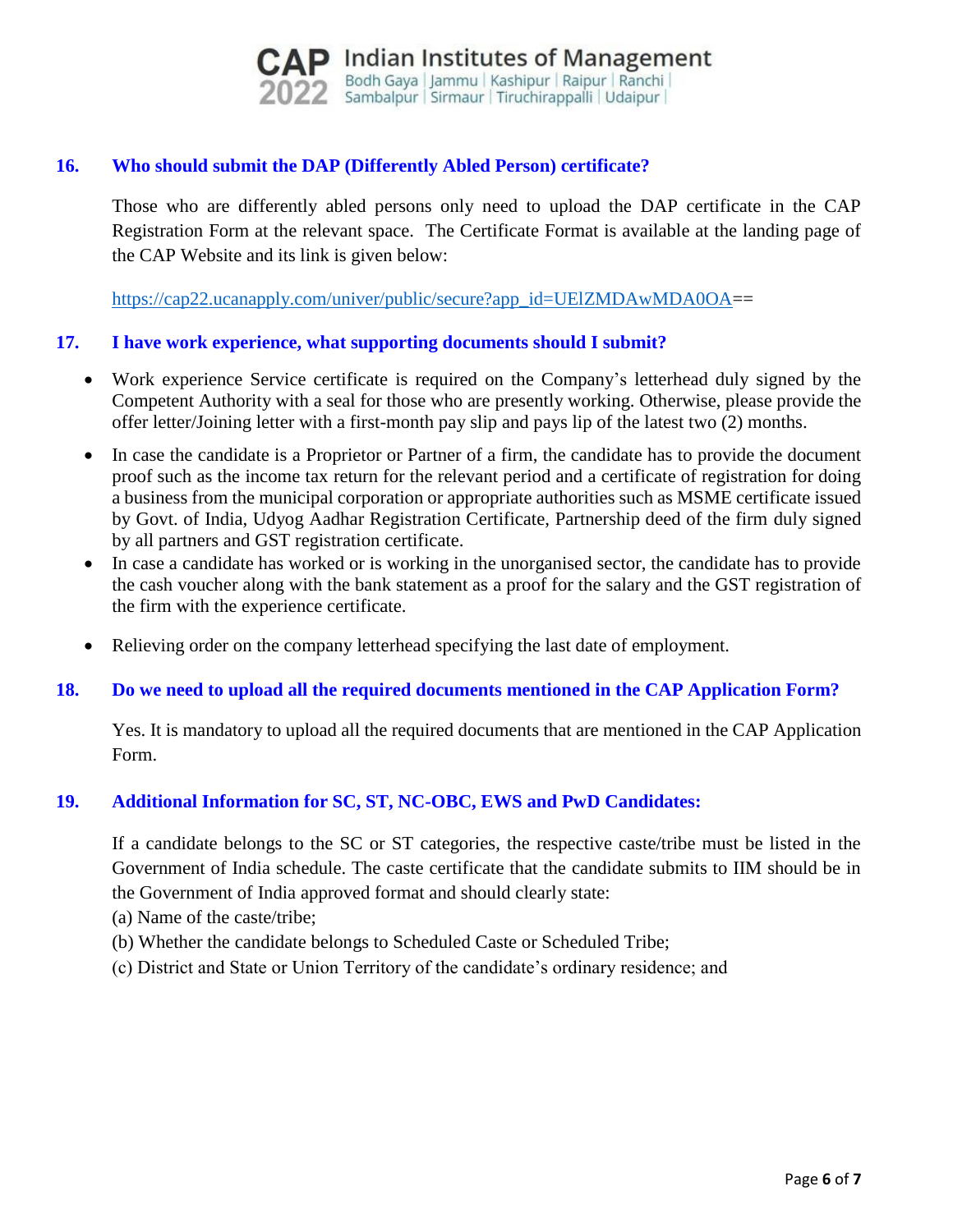

## **16. Who should submit the DAP (Differently Abled Person) certificate?**

Those who are differently abled persons only need to upload the DAP certificate in the CAP Registration Form at the relevant space. The Certificate Format is available at the landing page of the CAP Website and its link is given below:

[https://cap22.ucanapply.com/univer/public/secure?app\\_id=UElZMDAwMDA0OA=](https://cap22.ucanapply.com/univer/public/secure?app_id=UElZMDAwMDA0OA)=

#### **17. I have work experience, what supporting documents should I submit?**

- Work experience Service certificate is required on the Company's letterhead duly signed by the Competent Authority with a seal for those who are presently working. Otherwise, please provide the offer letter/Joining letter with a first-month pay slip and pays lip of the latest two (2) months.
- In case the candidate is a Proprietor or Partner of a firm, the candidate has to provide the document proof such as the income tax return for the relevant period and a certificate of registration for doing a business from the municipal corporation or appropriate authorities such as MSME certificate issued by Govt. of India, Udyog Aadhar Registration Certificate, Partnership deed of the firm duly signed by all partners and GST registration certificate.
- In case a candidate has worked or is working in the unorganised sector, the candidate has to provide the cash voucher along with the bank statement as a proof for the salary and the GST registration of the firm with the experience certificate.
- Relieving order on the company letterhead specifying the last date of employment.

#### **18. Do we need to upload all the required documents mentioned in the CAP Application Form?**

Yes. It is mandatory to upload all the required documents that are mentioned in the CAP Application Form.

#### **19. Additional Information for SC, ST, NC-OBC, EWS and PwD Candidates:**

If a candidate belongs to the SC or ST categories, the respective caste/tribe must be listed in the Government of India schedule. The caste certificate that the candidate submits to IIM should be in the Government of India approved format and should clearly state:

- (a) Name of the caste/tribe;
- (b) Whether the candidate belongs to Scheduled Caste or Scheduled Tribe;
- (c) District and State or Union Territory of the candidate's ordinary residence; and